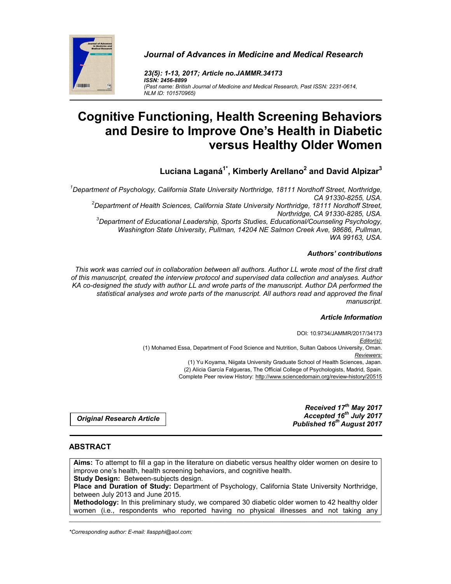



*23(5): 1-13, 2017; Article no.JAMMR.34173 ISSN: 2456-8899 (Past name: British Journal of Medicine and Medical Research, Past ISSN: 2231-0614, NLM ID: 101570965)*

# **Cognitive Functioning, Health Screening Behaviors and Desire to Improve One's Health in Diabetic versus Healthy Older Women**

**Luciana Laganá1\*, Kimberly Arellano2 and David Alpizar3**

<sup>1</sup>Department of Psychology, California State University Northridge, 18111 Nordhoff Street, Northridge, *CA 91330-8255, USA. <sup>2</sup> Department of Health Sciences, California State University Northridge, 18111 Nordhoff Street, Northridge, CA 91330-8285, USA. <sup>3</sup> Department of Educational Leadership, Sports Studies, Educational/Counseling Psychology, Washington State University, Pullman, 14204 NE Salmon Creek Ave, 98686, Pullman, WA 99163, USA.*

# *Authors' contributions*

*This work was carried out in collaboration between all authors. Author LL wrote most of the first draft of this manuscript, created the interview protocol and supervised data collection and analyses. Author KA co-designed the study with author LL and wrote parts of the manuscript. Author DA performed the statistical analyses and wrote parts of the manuscript. All authors read and approved the final manuscript.*

## *Article Information*

DOI: 10.9734/JAMMR/2017/34173 *Editor(s):* (1) Mohamed Essa, Department of Food Science and Nutrition, Sultan Qaboos University, Oman. *Reviewers:* (1) Yu Koyama, Niigata University Graduate School of Health Sciences, Japan. (2) Alicia García Falgueras, The Official College of Psychologists, Madrid, Spain. Complete Peer review History: http://www.sciencedomain.org/review-history/20515

*Original Research Article*

*Received 17th May 2017 Accepted 16th July 2017 Published 16th August 2017*

# **ABSTRACT**

**Aims:** To attempt to fill a gap in the literature on diabetic versus healthy older women on desire to improve one's health, health screening behaviors, and cognitive health. **Study Design:** Between-subjects design.

**Place and Duration of Study:** Department of Psychology, California State University Northridge, between July 2013 and June 2015.

\_\_\_\_\_\_\_\_\_\_\_\_\_\_\_\_\_\_\_\_\_\_\_\_\_\_\_\_\_\_\_\_\_\_\_\_\_\_\_\_\_\_\_\_\_\_\_\_\_\_\_\_\_\_\_\_\_\_\_\_\_\_\_\_\_\_\_\_\_\_\_\_\_\_\_\_\_\_\_\_\_\_\_\_\_\_\_\_\_\_\_\_\_\_\_\_\_\_\_\_\_ **Methodology:** In this preliminary study, we compared 30 diabetic older women to 42 healthy older women (i.e., respondents who reported having no physical illnesses and not taking any

*\*Corresponding author: E-mail: llaspphi@aol.com;*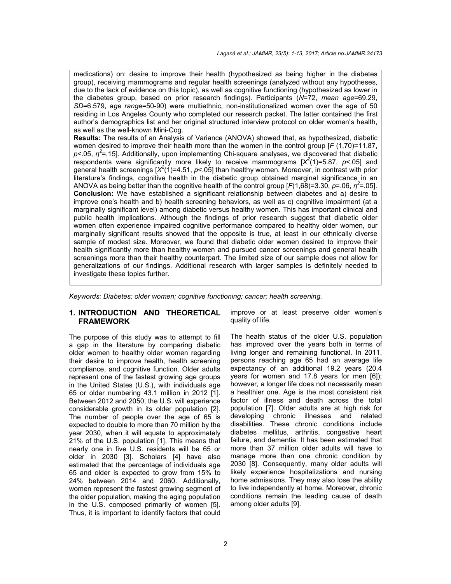medications) on: desire to improve their health (hypothesized as being higher in the diabetes group), receiving mammograms and regular health screenings (analyzed without any hypotheses, due to the lack of evidence on this topic), as well as cognitive functioning (hypothesized as lower in the diabetes group, based on prior research findings). Participants (*N*=72, *mean age*=69.29, *SD*=6.579, a*ge range*=50-90) were multiethnic, non-institutionalized women over the age of 50 residing in Los Angeles County who completed our research packet. The latter contained the first author's demographics list and her original structured interview protocol on older women's health, as well as the well-known Mini-Cog.

**Results:** The results of an Analysis of Variance (ANOVA) showed that, as hypothesized, diabetic women desired to improve their health more than the women in the control group [*F* (1,70)=11.87, *p*<.05, *η<sup>2</sup>* =.15]. Additionally, upon implementing Chi-square analyses, we discovered that diabetic respondents were significantly more likely to receive mammograms  $[X^2(1)=5.87, p<.05]$  and general health screenings [X<sup>2</sup>(1)=4.51, p<.05] than healthy women. Moreover, in contrast with prior literature's findings, cognitive health in the diabetic group obtained marginal significance in an ANOVA as being better than the cognitive health of the control group  $[F(1,68)=3.30, p=.06, \eta^2=.05]$ . **Conclusion:** We have established a significant relationship between diabetes and a) desire to improve one's health and b) health screening behaviors, as well as c) cognitive impairment (at a marginally significant level) among diabetic versus healthy women. This has important clinical and public health implications. Although the findings of prior research suggest that diabetic older women often experience impaired cognitive performance compared to healthy older women, our marginally significant results showed that the opposite is true, at least in our ethnically diverse sample of modest size. Moreover, we found that diabetic older women desired to improve their health significantly more than healthy women and pursued cancer screenings and general health screenings more than their healthy counterpart. The limited size of our sample does not allow for generalizations of our findings. Additional research with larger samples is definitely needed to investigate these topics further.

*Keywords: Diabetes; older women; cognitive functioning; cancer; health screening.* 

## **1. INTRODUCTION AND THEORETICAL FRAMEWORK**

The purpose of this study was to attempt to fill a gap in the literature by comparing diabetic older women to healthy older women regarding their desire to improve health, health screening compliance, and cognitive function. Older adults represent one of the fastest growing age groups in the United States (U.S.), with individuals age 65 or older numbering 43.1 million in 2012 [1]. Between 2012 and 2050, the U.S. will experience considerable growth in its older population [2]. The number of people over the age of 65 is expected to double to more than 70 million by the year 2030, when it will equate to approximately 21% of the U.S. population [1]. This means that nearly one in five U.S. residents will be 65 or older in 2030 [3]. Scholars [4] have also estimated that the percentage of individuals age 65 and older is expected to grow from 15% to 24% between 2014 and 2060. Additionally, women represent the fastest growing segment of the older population, making the aging population in the U.S. composed primarily of women [5]. Thus, it is important to identify factors that could

improve or at least preserve older women's quality of life.

The health status of the older U.S. population has improved over the years both in terms of living longer and remaining functional. In 2011, persons reaching age 65 had an average life expectancy of an additional 19.2 years (20.4 years for women and 17.8 years for men [6]); however, a longer life does not necessarily mean a healthier one. Age is the most consistent risk factor of illness and death across the total population [7]. Older adults are at high risk for developing chronic illnesses and related disabilities. These chronic conditions include diabetes mellitus, arthritis, congestive heart failure, and dementia. It has been estimated that more than 37 million older adults will have to manage more than one chronic condition by 2030 [8]. Consequently, many older adults will likely experience hospitalizations and nursing home admissions. They may also lose the ability to live independently at home. Moreover, chronic conditions remain the leading cause of death among older adults [9].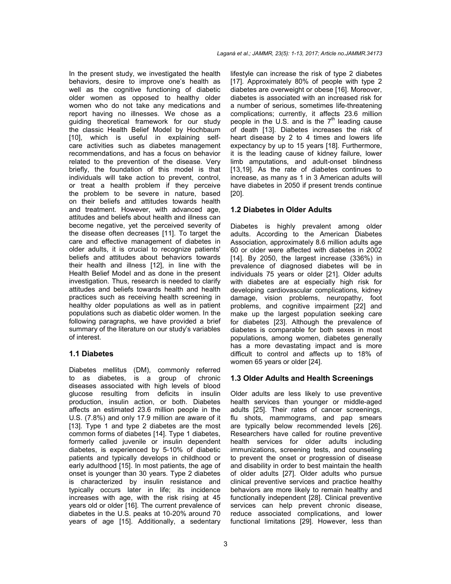In the present study, we investigated the health behaviors, desire to improve one's health as well as the cognitive functioning of diabetic older women as opposed to healthy older women who do not take any medications and report having no illnesses. We chose as a guiding theoretical framework for our study the classic Health Belief Model by Hochbaum [10], which is useful in explaining selfcare activities such as diabetes management recommendations, and has a focus on behavior related to the prevention of the disease. Very briefly, the foundation of this model is that individuals will take action to prevent, control, or treat a health problem if they perceive the problem to be severe in nature, based on their beliefs and attitudes towards health and treatment. However, with advanced age, attitudes and beliefs about health and illness can become negative, yet the perceived severity of the disease often decreases [11]. To target the care and effective management of diabetes in older adults, it is crucial to recognize patients' beliefs and attitudes about behaviors towards their health and illness [12], in line with the Health Belief Model and as done in the present investigation. Thus, research is needed to clarify attitudes and beliefs towards health and health practices such as receiving health screening in healthy older populations as well as in patient populations such as diabetic older women. In the following paragraphs, we have provided a brief summary of the literature on our study's variables of interest.

## **1.1 Diabetes**

Diabetes mellitus (DM), commonly referred to as diabetes, is a group of chronic diseases associated with high levels of blood glucose resulting from deficits in insulin production, insulin action, or both. Diabetes affects an estimated 23.6 million people in the U.S. (7.8%) and only 17.9 million are aware of it [13]. Type 1 and type 2 diabetes are the most common forms of diabetes [14]. Type 1 diabetes, formerly called juvenile or insulin dependent diabetes, is experienced by 5-10% of diabetic patients and typically develops in childhood or early adulthood [15]. In most patients, the age of onset is younger than 30 years. Type 2 diabetes is characterized by insulin resistance and typically occurs later in life; its incidence increases with age, with the risk rising at 45 years old or older [16]. The current prevalence of diabetes in the U.S. peaks at 10-20% around 70 years of age [15]. Additionally, a sedentary

lifestyle can increase the risk of type 2 diabetes [17]. Approximately 80% of people with type 2 diabetes are overweight or obese [16]. Moreover, diabetes is associated with an increased risk for a number of serious, sometimes life-threatening complications; currently, it affects 23.6 million people in the U.S. and is the  $7<sup>th</sup>$  leading cause of death [13]. Diabetes increases the risk of heart disease by 2 to 4 times and lowers life expectancy by up to 15 years [18]. Furthermore, it is the leading cause of kidney failure, lower limb amputations, and adult-onset blindness [13,19]. As the rate of diabetes continues to increase, as many as 1 in 3 American adults will have diabetes in 2050 if present trends continue [20].

# **1.2 Diabetes in Older Adults**

Diabetes is highly prevalent among older adults. According to the American Diabetes Association, approximately 8.6 million adults age 60 or older were affected with diabetes in 2002 [14]. By 2050, the largest increase (336%) in prevalence of diagnosed diabetes will be in individuals 75 years or older [21]. Older adults with diabetes are at especially high risk for developing cardiovascular complications, kidney damage, vision problems, neuropathy, foot problems, and cognitive impairment [22] and make up the largest population seeking care for diabetes [23]. Although the prevalence of diabetes is comparable for both sexes in most populations, among women, diabetes generally has a more devastating impact and is more difficult to control and affects up to 18% of women 65 years or older [24].

## **1.3 Older Adults and Health Screenings**

Older adults are less likely to use preventive health services than younger or middle-aged adults [25]. Their rates of cancer screenings, flu shots, mammograms, and pap smears are typically below recommended levels [26]. Researchers have called for routine preventive health services for older adults including immunizations, screening tests, and counseling to prevent the onset or progression of disease and disability in order to best maintain the health of older adults [27]. Older adults who pursue clinical preventive services and practice healthy behaviors are more likely to remain healthy and functionally independent [28]. Clinical preventive services can help prevent chronic disease, reduce associated complications, and lower functional limitations [29]. However, less than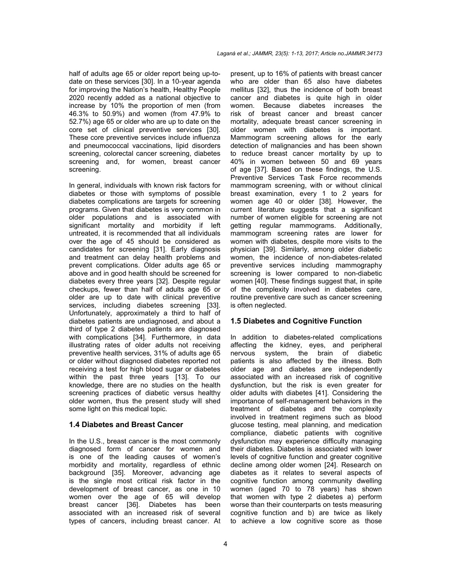half of adults age 65 or older report being up-todate on these services [30]. In a 10-year agenda for improving the Nation's health, Healthy People 2020 recently added as a national objective to increase by 10% the proportion of men (from 46.3% to 50.9%) and women (from 47.9% to 52.7%) age 65 or older who are up to date on the core set of clinical preventive services [30]. These core preventive services include influenza and pneumococcal vaccinations, lipid disorders screening, colorectal cancer screening, diabetes screening and, for women, breast cancer screening.

In general, individuals with known risk factors for diabetes or those with symptoms of possible diabetes complications are targets for screening programs. Given that diabetes is very common in older populations and is associated with significant mortality and morbidity if left untreated, it is recommended that all individuals over the age of 45 should be considered as candidates for screening [31]. Early diagnosis and treatment can delay health problems and prevent complications. Older adults age 65 or above and in good health should be screened for diabetes every three years [32]. Despite regular checkups, fewer than half of adults age 65 or older are up to date with clinical preventive services, including diabetes screening [33]. Unfortunately, approximately a third to half of diabetes patients are undiagnosed, and about a third of type 2 diabetes patients are diagnosed with complications [34]. Furthermore, in data illustrating rates of older adults not receiving preventive health services, 31% of adults age 65 or older without diagnosed diabetes reported not receiving a test for high blood sugar or diabetes within the past three years [13]. To our knowledge, there are no studies on the health screening practices of diabetic versus healthy older women, thus the present study will shed some light on this medical topic.

#### **1.4 Diabetes and Breast Cancer**

In the U.S., breast cancer is the most commonly diagnosed form of cancer for women and is one of the leading causes of women's morbidity and mortality, regardless of ethnic background [35]. Moreover, advancing age is the single most critical risk factor in the development of breast cancer, as one in 10 women over the age of 65 will develop breast cancer [36]. Diabetes has been associated with an increased risk of several types of cancers, including breast cancer. At present, up to 16% of patients with breast cancer who are older than 65 also have diabetes mellitus [32], thus the incidence of both breast cancer and diabetes is quite high in older women. Because diabetes increases the risk of breast cancer and breast cancer mortality, adequate breast cancer screening in older women with diabetes is important. Mammogram screening allows for the early detection of malignancies and has been shown to reduce breast cancer mortality by up to 40% in women between 50 and 69 years of age [37]. Based on these findings, the U.S. Preventive Services Task Force recommends mammogram screening, with or without clinical breast examination, every 1 to 2 years for women age 40 or older [38]. However, the current literature suggests that a significant number of women eligible for screening are not getting regular mammograms. Additionally, mammogram screening rates are lower for women with diabetes, despite more visits to the physician [39]. Similarly, among older diabetic women, the incidence of non-diabetes-related preventive services including mammography screening is lower compared to non-diabetic women [40]. These findings suggest that, in spite of the complexity involved in diabetes care, routine preventive care such as cancer screening is often neglected.

#### **1.5 Diabetes and Cognitive Function**

In addition to diabetes-related complications affecting the kidney, eyes, and peripheral nervous system, the brain of diabetic patients is also affected by the illness. Both older age and diabetes are independently associated with an increased risk of cognitive dysfunction, but the risk is even greater for older adults with diabetes [41]. Considering the importance of self-management behaviors in the treatment of diabetes and the complexity involved in treatment regimens such as blood glucose testing, meal planning, and medication compliance, diabetic patients with cognitive dysfunction may experience difficulty managing their diabetes. Diabetes is associated with lower levels of cognitive function and greater cognitive decline among older women [24]. Research on diabetes as it relates to several aspects of cognitive function among community dwelling women (aged 70 to 78 years) has shown that women with type 2 diabetes a) perform worse than their counterparts on tests measuring cognitive function and b) are twice as likely to achieve a low cognitive score as those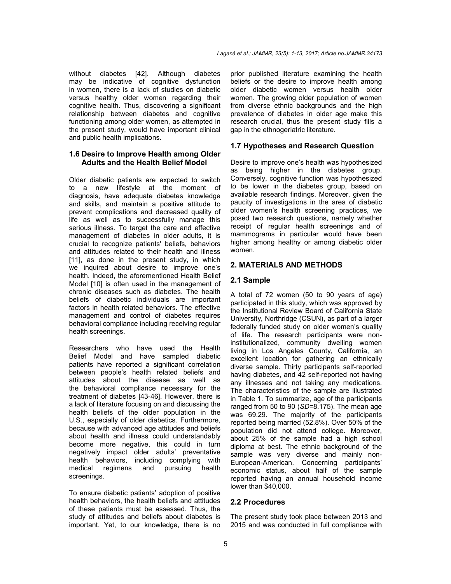without diabetes [42]. Although diabetes may be indicative of cognitive dysfunction in women, there is a lack of studies on diabetic versus healthy older women regarding their cognitive health. Thus, discovering a significant relationship between diabetes and cognitive functioning among older women, as attempted in the present study, would have important clinical and public health implications.

## **1.6 Desire to Improve Health among Older Adults and the Health Belief Model**

Older diabetic patients are expected to switch to a new lifestyle at the moment of diagnosis, have adequate diabetes knowledge and skills, and maintain a positive attitude to prevent complications and decreased quality of life as well as to successfully manage this serious illness. To target the care and effective management of diabetes in older adults, it is crucial to recognize patients' beliefs, behaviors and attitudes related to their health and illness [11], as done in the present study, in which we inquired about desire to improve one's health. Indeed, the aforementioned Health Belief Model [10] is often used in the management of chronic diseases such as diabetes. The health beliefs of diabetic individuals are important factors in health related behaviors. The effective management and control of diabetes requires behavioral compliance including receiving regular health screenings.

Researchers who have used the Health Belief Model and have sampled diabetic patients have reported a significant correlation between people's health related beliefs and attitudes about the disease as well as the behavioral compliance necessary for the treatment of diabetes [43-46]. However, there is a lack of literature focusing on and discussing the health beliefs of the older population in the U.S., especially of older diabetics. Furthermore, because with advanced age attitudes and beliefs about health and illness could understandably become more negative, this could in turn negatively impact older adults' preventative health behaviors, including complying with medical regimens and pursuing health screenings.

To ensure diabetic patients' adoption of positive health behaviors, the health beliefs and attitudes of these patients must be assessed. Thus, the study of attitudes and beliefs about diabetes is important. Yet, to our knowledge, there is no prior published literature examining the health beliefs or the desire to improve health among older diabetic women versus health older women. The growing older population of women from diverse ethnic backgrounds and the high prevalence of diabetes in older age make this research crucial, thus the present study fills a gap in the ethnogeriatric literature.

## **1.7 Hypotheses and Research Question**

Desire to improve one's health was hypothesized as being higher in the diabetes group. Conversely, cognitive function was hypothesized to be lower in the diabetes group, based on available research findings. Moreover, given the paucity of investigations in the area of diabetic older women's health screening practices, we posed two research questions, namely whether receipt of regular health screenings and of mammograms in particular would have been higher among healthy or among diabetic older women.

#### **2. MATERIALS AND METHODS**

#### **2.1 Sample**

A total of 72 women (50 to 90 years of age) participated in this study, which was approved by the Institutional Review Board of California State University, Northridge (CSUN), as part of a larger federally funded study on older women's quality of life. The research participants were noninstitutionalized, community dwelling women living in Los Angeles County, California, an excellent location for gathering an ethnically diverse sample. Thirty participants self-reported having diabetes, and 42 self-reported not having any illnesses and not taking any medications. The characteristics of the sample are illustrated in Table 1. To summarize, age of the participants ranged from 50 to 90 (*SD=*8.175). The mean age was 69.29. The majority of the participants reported being married (52.8%). Over 50% of the population did not attend college. Moreover, about 25% of the sample had a high school diploma at best. The ethnic background of the sample was very diverse and mainly non-European-American. Concerning participants' economic status, about half of the sample reported having an annual household income lower than \$40,000.

#### **2.2 Procedures**

The present study took place between 2013 and 2015 and was conducted in full compliance with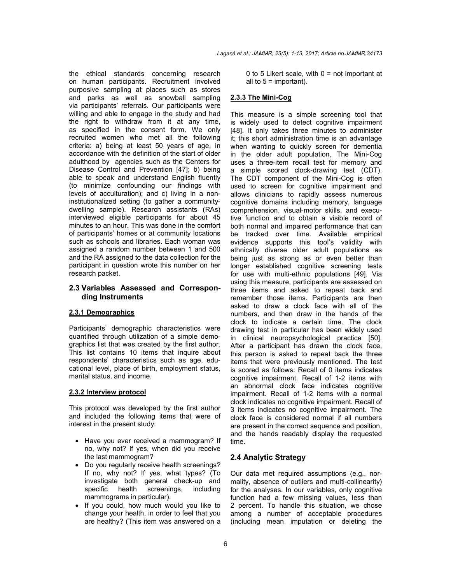the ethical standards concerning research on human participants. Recruitment involved purposive sampling at places such as stores and parks as well as snowball sampling via participants' referrals. Our participants were willing and able to engage in the study and had the right to withdraw from it at any time, as specified in the consent form. We only recruited women who met all the following criteria: a) being at least 50 years of age, in accordance with the definition of the start of older adulthood by agencies such as the Centers for Disease Control and Prevention [47]; b) being able to speak and understand English fluently (to minimize confounding our findings with levels of acculturation); and c) living in a noninstitutionalized setting (to gather a communitydwelling sample). Research assistants (RAs) interviewed eligible participants for about 45 minutes to an hour. This was done in the comfort of participants' homes or at community locations such as schools and libraries. Each woman was assigned a random number between 1 and 500 and the RA assigned to the data collection for the participant in question wrote this number on her research packet.

#### **2.3 Variables Assessed and Corresponding Instruments**

## **2.3.1 Demographics**

Participants' demographic characteristics were quantified through utilization of a simple demographics list that was created by the first author. This list contains 10 items that inquire about respondents' characteristics such as age, educational level, place of birth, employment status, marital status, and income.

#### **2.3.2 Interview protocol**

This protocol was developed by the first author and included the following items that were of interest in the present study:

- Have you ever received a mammogram? If no, why not? If yes, when did you receive the last mammogram?
- Do you regularly receive health screenings? If no, why not? If yes, what types? (To investigate both general check-up and specific health screenings, including mammograms in particular).
- If you could, how much would you like to change your health, in order to feel that you are healthy? (This item was answered on a

0 to 5 Likert scale, with  $0 = \text{not important at}$ all to  $5 =$  important).

#### **2.3.3 The Mini-Cog**

This measure is a simple screening tool that is widely used to detect cognitive impairment [48]. It only takes three minutes to administer it; this short administration time is an advantage when wanting to quickly screen for dementia in the older adult population. The Mini-Cog uses a three-item recall test for memory and a simple scored clock-drawing test (CDT). The CDT component of the Mini-Cog is often used to screen for cognitive impairment and allows clinicians to rapidly assess numerous cognitive domains including memory, language comprehension, visual-motor skills, and executive function and to obtain a visible record of both normal and impaired performance that can be tracked over time. Available empirical evidence supports this tool's validity with ethnically diverse older adult populations as being just as strong as or even better than longer established cognitive screening tests for use with multi-ethnic populations [49]. Via using this measure, participants are assessed on three items and asked to repeat back and remember those items. Participants are then asked to draw a clock face with all of the numbers, and then draw in the hands of the clock to indicate a certain time. The clock drawing test in particular has been widely used in clinical neuropsychological practice [50]. After a participant has drawn the clock face, this person is asked to repeat back the three items that were previously mentioned. The test is scored as follows: Recall of 0 items indicates cognitive impairment. Recall of 1-2 items with an abnormal clock face indicates cognitive impairment. Recall of 1-2 items with a normal clock indicates no cognitive impairment. Recall of 3 items indicates no cognitive impairment. The clock face is considered normal if all numbers are present in the correct sequence and position, and the hands readably display the requested time.

# **2.4 Analytic Strategy**

Our data met required assumptions (e.g., normality, absence of outliers and multi-collinearity) for the analyses. In our variables, only cognitive function had a few missing values, less than 2 percent. To handle this situation, we chose among a number of acceptable procedures (including mean imputation or deleting the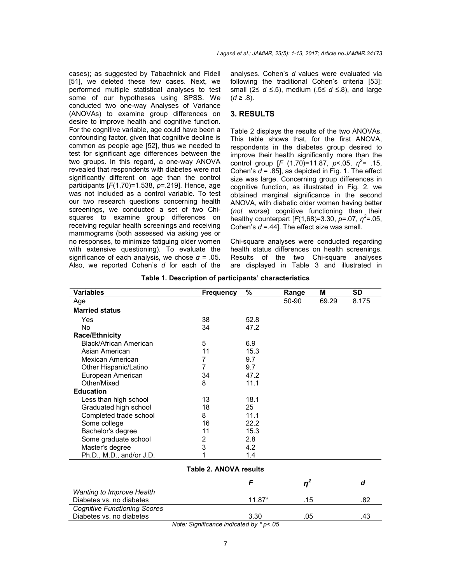cases); as suggested by Tabachnick and Fidell [51], we deleted these few cases. Next, we performed multiple statistical analyses to test some of our hypotheses using SPSS. We conducted two one-way Analyses of Variance (ANOVAs) to examine group differences on desire to improve health and cognitive function. For the cognitive variable, age could have been a confounding factor, given that cognitive decline is common as people age [52], thus we needed to test for significant age differences between the two groups. In this regard, a one-way ANOVA revealed that respondents with diabetes were not significantly different on age than the control participants [*F*(1,70)=1.538, *p*=.219]. Hence, age was not included as a control variable. To test our two research questions concerning health screenings, we conducted a set of two Chisquares to examine group differences on receiving regular health screenings and receiving mammograms (both assessed via asking yes or no responses, to minimize fatiguing older women with extensive questioning). To evaluate the significance of each analysis, we chose  $\alpha = .05$ . Also, we reported Cohen's *d* for each of the

analyses. Cohen's *d* values were evaluated via following the traditional Cohen's criteria [53]: small (2≤ *d* ≤.5), medium (.5≤ *d* ≤.8), and large  $(d ≥ .8)$ .

# **3. RESULTS**

Table 2 displays the results of the two ANOVAs. This table shows that, for the first ANOVA, respondents in the diabetes group desired to improve their health significantly more than the control group  $[F (1,70)=11.87, p<.05, \eta^2= .15,$ Cohen's *d* = .85], as depicted in Fig. 1. The effect size was large. Concerning group differences in cognitive function, as illustrated in Fig. 2, we obtained marginal significance in the second ANOVA, with diabetic older women having better (*not worse*) cognitive functioning than their healthy counterpart  $[F(1,68)=3.30, p=.07, \eta^2=.05,$ Cohen's *d* =.44]. The effect size was small.

Chi-square analyses were conducted regarding health status differences on health screenings. Results of the two Chi-square analyses are displayed in Table 3 and illustrated in

| Variables                | Frequency | %    | Range | М     | <b>SD</b> |
|--------------------------|-----------|------|-------|-------|-----------|
| Age                      |           |      | 50-90 | 69.29 | 8.175     |
| <b>Married status</b>    |           |      |       |       |           |
| Yes                      | 38        | 52.8 |       |       |           |
| No.                      | 34        | 47.2 |       |       |           |
| <b>Race/Ethnicity</b>    |           |      |       |       |           |
| Black/African American   | 5         | 6.9  |       |       |           |
| Asian American           | 11        | 15.3 |       |       |           |
| Mexican American         | 7         | 9.7  |       |       |           |
| Other Hispanic/Latino    | 7         | 9.7  |       |       |           |
| European American        | 34        | 47.2 |       |       |           |
| Other/Mixed              | 8         | 11.1 |       |       |           |
| <b>Education</b>         |           |      |       |       |           |
| Less than high school    | 13        | 18.1 |       |       |           |
| Graduated high school    | 18        | 25   |       |       |           |
| Completed trade school   | 8         | 11.1 |       |       |           |
| Some college             | 16        | 22.2 |       |       |           |
| Bachelor's degree        | 11        | 15.3 |       |       |           |
| Some graduate school     | 2         | 2.8  |       |       |           |
| Master's degree          | 3         | 4.2  |       |       |           |
| Ph.D., M.D., and/or J.D. |           | 1.4  |       |       |           |

**Table 1. Description of participants' characteristics**

#### **Table 2. ANOVA results**

| Wanting to Improve Health           |        |     |  |
|-------------------------------------|--------|-----|--|
| Diabetes vs. no diabetes            | 11 87* | .15 |  |
| <b>Cognitive Functioning Scores</b> |        |     |  |
| Diabetes vs. no diabetes            | 3.30   | .05 |  |

*Note: Significance indicated by \* p<.05*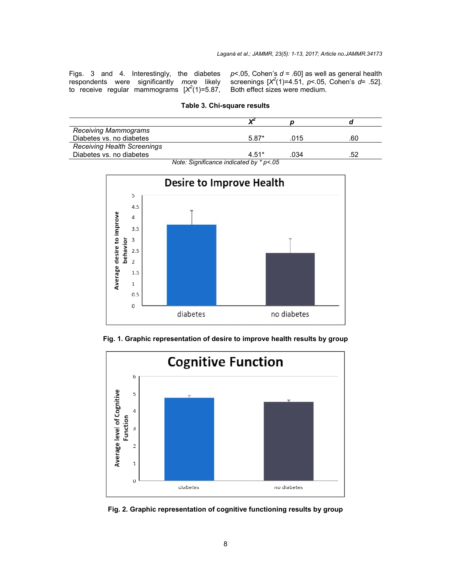Figs. 3 and 4. Interestingly, the diabetes respondents were significantly *more* likely to receive regular mammograms  $[X^2(1) = 5.87]$ ,  $p$ <.05, Cohen's  $d$  = .60] as well as general health screenings [*X2* (1)=4.51, *p*<.05, Cohen's *d*= .52]. Both effect sizes were medium.

| <b>Receiving Mammograms</b>        |         |      |     |  |  |  |
|------------------------------------|---------|------|-----|--|--|--|
| Diabetes vs. no diabetes           | $5.87*$ | .015 | .60 |  |  |  |
| <b>Receiving Health Screenings</b> |         |      |     |  |  |  |
| Diabetes vs. no diabetes           | $4.51*$ | .034 | 52  |  |  |  |
| $N = 0$                            |         |      |     |  |  |  |





Fig. 1. Graphic representation of desire to improve health results by group



**Fig. 2. Graphic representation of cognitive functioning results by group**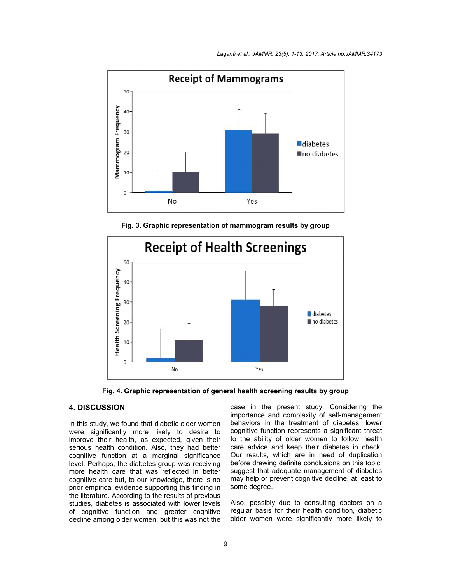

**Fig. 3. Graphic representation of mammogram results by group**



**Fig. 4. Graphic representation of general health screening results by group Graphic Fig. 4. Graphic representation of general health screening results by group**

#### **4. DISCUSSION**

In this study, we found that diabetic older women were significantly more likely to desire to improve their health, as expected, given their serious health condition. Also, they had better cognitive function at a marginal significance serious health condition. Also, they had better<br>cognitive function at a marginal significance<br>level. Perhaps, the diabetes group was receiving more health care that was reflected in better cognitive care but, to our knowledge, there is no prior empirical evidence supporting this finding in the literature. According to the results of previous studies, diabetes is associated with lower levels of cognitive function and greater cognitive decline among older women, but this was not the evidence supporting tl<br>‹ccording to the resultః<br>es is associated with

case in the present study. Considering the importance and complexity of self-management behaviors in the treatment of diabetes, lower cognitive function represents a significant threat to the ability of older women to follow health care advice and keep their diabetes in check. Our results, which are in need of duplication before drawing definite conclusions on this topic, suggest that adequate management of diabetes may help or prevent cognitive decline, at least to some degree. behaviors in the treatment of diabetes, lower<br>cognitive function represents a significant threat<br>to the ability of older women to follow health<br>care advice and keep their diabetes in check. diabetes<br>t least to<br><sub>ors</sub> on a

Also, possibly due to consulting doctors on a regular basis for their health condition, diabetic older women were significantly more likely to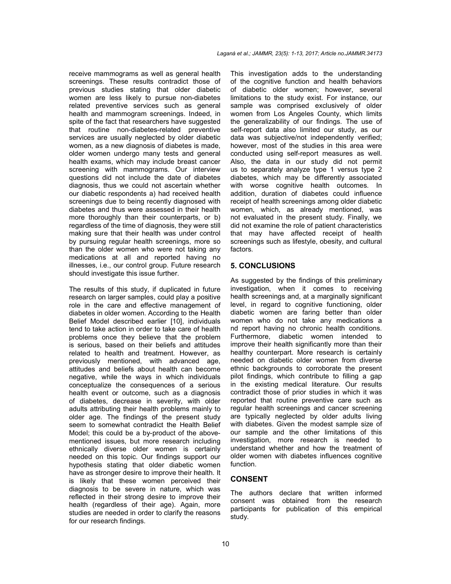receive mammograms as well as general health screenings. These results contradict those of previous studies stating that older diabetic women are less likely to pursue non-diabetes related preventive services such as general health and mammogram screenings. Indeed, in spite of the fact that researchers have suggested that routine non-diabetes-related preventive services are usually neglected by older diabetic women, as a new diagnosis of diabetes is made, older women undergo many tests and general health exams, which may include breast cancer screening with mammograms. Our interview questions did not include the date of diabetes diagnosis, thus we could not ascertain whether our diabetic respondents a) had received health screenings due to being recently diagnosed with diabetes and thus were assessed in their health more thoroughly than their counterparts, or b) regardless of the time of diagnosis, they were still making sure that their health was under control by pursuing regular health screenings, more so than the older women who were not taking any medications at all and reported having no illnesses, i.e., our control group. Future research should investigate this issue further.

The results of this study, if duplicated in future research on larger samples, could play a positive role in the care and effective management of diabetes in older women. According to the Health Belief Model described earlier [10], individuals tend to take action in order to take care of health problems once they believe that the problem is serious, based on their beliefs and attitudes related to health and treatment. However, as previously mentioned, with advanced age, attitudes and beliefs about health can become negative, while the ways in which individuals conceptualize the consequences of a serious health event or outcome, such as a diagnosis of diabetes, decrease in severity, with older adults attributing their health problems mainly to older age. The findings of the present study seem to somewhat contradict the Health Belief Model; this could be a by-product of the abovementioned issues, but more research including ethnically diverse older women is certainly needed on this topic. Our findings support our hypothesis stating that older diabetic women have as stronger desire to improve their health. It is likely that these women perceived their diagnosis to be severe in nature, which was reflected in their strong desire to improve their health (regardless of their age). Again, more studies are needed in order to clarify the reasons for our research findings.

This investigation adds to the understanding of the cognitive function and health behaviors of diabetic older women; however, several limitations to the study exist. For instance, our sample was comprised exclusively of older women from Los Angeles County, which limits the generalizability of our findings. The use of self-report data also limited our study, as our data was subjective/not independently verified; however, most of the studies in this area were conducted using self-report measures as well. Also, the data in our study did not permit us to separately analyze type 1 versus type 2 diabetes, which may be differently associated with worse cognitive health outcomes. In addition, duration of diabetes could influence receipt of health screenings among older diabetic women, which, as already mentioned, was not evaluated in the present study. Finally, we did not examine the role of patient characteristics that may have affected receipt of health screenings such as lifestyle, obesity, and cultural factors.

#### **5. CONCLUSIONS**

As suggested by the findings of this preliminary investigation, when it comes to receiving health screenings and, at a marginally significant level, in regard to cognitive functioning, older diabetic women are faring better than older women who do not take any medications a nd report having no chronic health conditions. Furthermore, diabetic women intended to improve their health significantly more than their healthy counterpart. More research is certainly needed on diabetic older women from diverse ethnic backgrounds to corroborate the present pilot findings, which contribute to filling a gap in the existing medical literature. Our results contradict those of prior studies in which it was reported that routine preventive care such as regular health screenings and cancer screening are typically neglected by older adults living with diabetes. Given the modest sample size of our sample and the other limitations of this investigation, more research is needed to understand whether and how the treatment of older women with diabetes influences cognitive function.

#### **CONSENT**

The authors declare that written informed consent was obtained from the research participants for publication of this empirical study.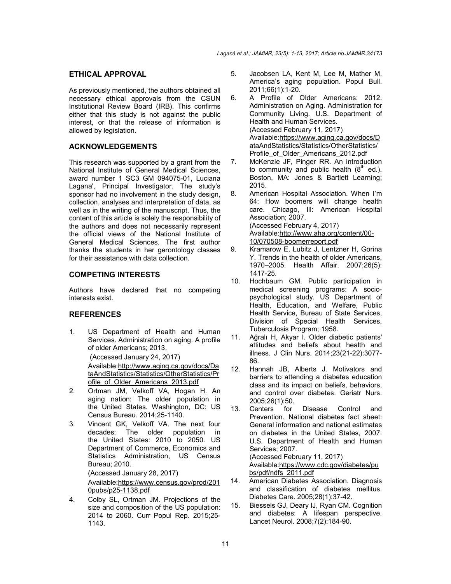## **ETHICAL APPROVAL**

As previously mentioned, the authors obtained all necessary ethical approvals from the CSUN Institutional Review Board (IRB). This confirms either that this study is not against the public interest, or that the release of information is allowed by legislation.

# **ACKNOWLEDGEMENTS**

This research was supported by a grant from the National Institute of General Medical Sciences, award number 1 SC3 GM 094075-01, Luciana Lagana', Principal Investigator. The study's sponsor had no involvement in the study design, collection, analyses and interpretation of data, as well as in the writing of the manuscript. Thus, the content of this article is solely the responsibility of the authors and does not necessarily represent the official views of the National Institute of General Medical Sciences. The first author thanks the students in her gerontology classes for their assistance with data collection.

# **COMPETING INTERESTS**

Authors have declared that no competing interests exist.

# **REFERENCES**

1. US Department of Health and Human Services. Administration on aging. A profile of older Americans; 2013.

(Accessed January 24, 2017)

Available:http://www.aging.ca.gov/docs/Da taAndStatistics/Statistics/OtherStatistics/Pr ofile\_of\_Older\_Americans\_2013.pdf

- 2. Ortman JM, Velkoff VA, Hogan H. An aging nation: The older population in the United States. Washington, DC: US Census Bureau. 2014;25-1140.
- 3. Vincent GK, Velkoff VA. The next four decades: The older population in the United States: 2010 to 2050. US Department of Commerce, Economics and Statistics Administration, US Census Bureau; 2010.

(Accessed January 28, 2017)

Available:https://www.census.gov/prod/201 0pubs/p25-1138.pdf

4. Colby SL, Ortman JM. Projections of the size and composition of the US population: 2014 to 2060. Curr Popul Rep. 2015;25- 1143.

- 5. Jacobsen LA, Kent M, Lee M, Mather M. America's aging population. Popul Bull. 2011;66(1):1-20.
- 6. A Profile of Older Americans: 2012. Administration on Aging. Administration for Community Living. U.S. Department of Health and Human Services. (Accessed February 11, 2017) Available:https://www.aging.ca.gov/docs/D ataAndStatistics/Statistics/OtherStatistics/ Profile of Older Americans 2012.pdf
- 7. McKenzie JF, Pinger RR. An introduction to community and public health  $(8<sup>th</sup>$  ed.). Boston, MA: Jones & Bartlett Learning; 2015.
- 8. American Hospital Association. When I'm 64: How boomers will change health care. Chicago, Ill: American Hospital Association; 2007. (Accessed February 4, 2017) Available:http://www.aha.org/content/00- 10/070508-boomerreport.pdf
- 9. Kramarow E, Lubitz J, Lentzner H, Gorina Y. Trends in the health of older Americans, 1970–2005. Health Affair. 2007;26(5): 1417-25.
- 10. Hochbaum GM. Public participation in medical screening programs: A sociopsychological study. US Department of Health, Education, and Welfare, Public Health Service, Bureau of State Services, Division of Special Health Services, Tuberculosis Program; 1958.
- 11. Ağralı H, Akyar I. Older diabetic patients' attitudes and beliefs about health and illness. J Clin Nurs. 2014;23(21-22):3077- 86.
- 12. Hannah JB, Alberts J. Motivators and barriers to attending a diabetes education class and its impact on beliefs, behaviors, and control over diabetes. Geriatr Nurs. 2005;26(1):50.
- 13. Centers for Disease Control and Prevention. National diabetes fact sheet: General information and national estimates on diabetes in the United States, 2007. U.S. Department of Health and Human Services; 2007. (Accessed February 11, 2017)

Available:https://www.cdc.gov/diabetes/pu bs/pdf/ndfs\_2011.pdf

- 14. American Diabetes Association. Diagnosis and classification of diabetes mellitus. Diabetes Care. 2005;28(1):37-42.
- 15. Biessels GJ, Deary IJ, Ryan CM. Cognition and diabetes: A lifespan perspective. Lancet Neurol. 2008;7(2):184-90.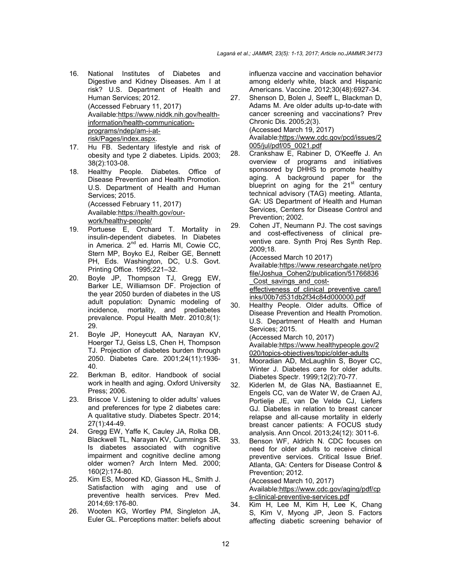- 16. National Institutes of Diabetes and Digestive and Kidney Diseases. Am I at risk? U.S. Department of Health and Human Services; 2012. (Accessed February 11, 2017) Available:https://www.niddk.nih.gov/healthinformation/health-communicationprograms/ndep/am-i-atrisk/Pages/index.aspx.
- 17. Hu FB. Sedentary lifestyle and risk of obesity and type 2 diabetes. Lipids. 2003; 38(2):103-08.
- 18. Healthy People. Diabetes. Office of Disease Prevention and Health Promotion. U.S. Department of Health and Human Services; 2015. (Accessed February 11, 2017) Available:https://health.gov/ourwork/healthy-people/ 19. Portuese E, Orchard T. Mortality in
- insulin-dependent diabetes. In Diabetes in America. 2<sup>nd</sup> ed. Harris MI, Cowie CC, Stern MP, Boyko EJ, Reiber GE, Bennett PH, Eds. Washington, DC, U.S. Govt. Printing Office. 1995;221–32.
- 20. Boyle JP, Thompson TJ, Gregg EW, Barker LE, Williamson DF. Projection of the year 2050 burden of diabetes in the US adult population: Dynamic modeling of incidence, mortality, and prediabetes prevalence. Popul Health Metr. 2010;8(1): 29.
- 21. Boyle JP, Honeycutt AA, Narayan KV, Hoerger TJ, Geiss LS, Chen H, Thompson TJ. Projection of diabetes burden through 2050. Diabetes Care. 2001;24(11):1936- 40.
- 22. Berkman B, editor. Handbook of social work in health and aging. Oxford University Press; 2006.
- 23. Briscoe V. Listening to older adults' values and preferences for type 2 diabetes care: A qualitative study. Diabetes Spectr. 2014; 27(1):44-49.
- 24. Gregg EW, Yaffe K, Cauley JA, Rolka DB, Blackwell TL, Narayan KV, Cummings SR. Is diabetes associated with cognitive impairment and cognitive decline among older women? Arch Intern Med. 2000; 160(2):174-80.
- 25. Kim ES, Moored KD, Giasson HL, Smith J. Satisfaction with aging and use of preventive health services. Prev Med. 2014;69:176-80.
- 26. Wooten KG, Wortley PM, Singleton JA, Euler GL. Perceptions matter: beliefs about

influenza vaccine and vaccination behavior among elderly white, black and Hispanic Americans. Vaccine. 2012;30(48):6927-34.

- 27. Shenson D, Bolen J, Seeff L, Blackman D, Adams M. Are older adults up-to-date with cancer screening and vaccinations? Prev Chronic Dis. 2005;2(3). (Accessed March 19, 2017) Available:https://www.cdc.gov/pcd/issues/2 005/jul/pdf/05\_0021.pdf
- 28. Crankshaw E, Rabiner D, O'Keeffe J. An overview of programs and initiatives sponsored by DHHS to promote healthy aging. A background paper for the blueprint on aging for the 21<sup>st</sup> century technical advisory (TAG) meeting. Atlanta, GA: US Department of Health and Human Services, Centers for Disease Control and Prevention; 2002.

29. Cohen JT, Neumann PJ. The cost savings and cost-effectiveness of clinical preventive care. Synth Proj Res Synth Rep. 2009;18.

(Accessed March 10 2017) Available:https://www.researchgate.net/pro file/Joshua\_Cohen2/publication/51766836 Cost savings and cost-

effectiveness of clinical preventive care/l inks/00b7d531db2f34c84d000000.pdf

- 30. Healthy People. Older adults. Office of Disease Prevention and Health Promotion. U.S. Department of Health and Human Services; 2015. (Accessed March 10, 2017) Available:https://www.healthypeople.gov/2 020/topics-objectives/topic/older-adults
- 31. Mooradian AD, McLaughlin S, Boyer CC, Winter J. Diabetes care for older adults. Diabetes Spectr. 1999;12(2):70-77.
- 32. Kiderlen M, de Glas NA, Bastiaannet E, Engels CC, van de Water W, de Craen AJ, Portielje JE, van De Velde CJ, Liefers GJ. Diabetes in relation to breast cancer relapse and all-cause mortality in elderly breast cancer patients: A FOCUS study analysis. Ann Oncol. 2013;24(12): 3011-6.
- 33. Benson WF, Aldrich N. CDC focuses on need for older adults to receive clinical preventive services. Critical Issue Brief. Atlanta, GA: Centers for Disease Control & Prevention; 2012. (Accessed March 10, 2017) Available:https://www.cdc.gov/aging/pdf/cp s-clinical-preventive-services.pdf
- 34. Kim H, Lee M, Kim H, Lee K, Chang S, Kim V, Myong JP, Jeon S. Factors affecting diabetic screening behavior of